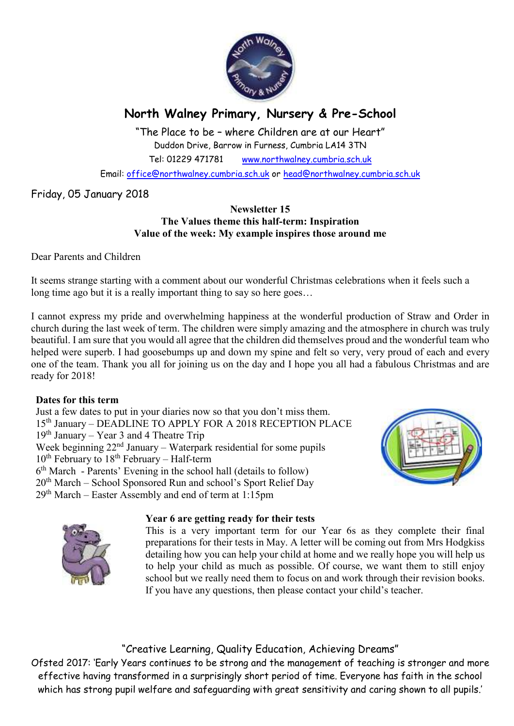

# **North Walney Primary, Nursery & Pre-School**

"The Place to be – where Children are at our Heart" Duddon Drive, Barrow in Furness, Cumbria LA14 3TN Tel: 01229 471781 www.northwalney.cumbria.sch.uk

Email: office@northwalney.cumbria.sch.uk or head@northwalney.cumbria.sch.uk

# Friday, 05 January 2018

#### **Newsletter 15 The Values theme this half-term: Inspiration Value of the week: My example inspires those around me**

Dear Parents and Children

It seems strange starting with a comment about our wonderful Christmas celebrations when it feels such a long time ago but it is a really important thing to say so here goes...

I cannot express my pride and overwhelming happiness at the wonderful production of Straw and Order in church during the last week of term. The children were simply amazing and the atmosphere in church was truly beautiful. I am sure that you would all agree that the children did themselves proud and the wonderful team who helped were superb. I had goosebumps up and down my spine and felt so very, very proud of each and every one of the team. Thank you all for joining us on the day and I hope you all had a fabulous Christmas and are ready for 2018!

## **Dates for this term**

Just a few dates to put in your diaries now so that you don't miss them. 15th January – DEADLINE TO APPLY FOR A 2018 RECEPTION PLACE 19th January – Year 3 and 4 Theatre Trip Week beginning  $22<sup>nd</sup>$  January – Waterpark residential for some pupils  $10^{th}$  February to  $18^{th}$  February – Half-term 6 th March - Parents' Evening in the school hall (details to follow) 20th March – School Sponsored Run and school's Sport Relief Day  $29<sup>th</sup> March – Easter Assembly and end of term at 1:15pm$ 



#### **Year 6 are getting ready for their tests**



This is a very important term for our Year 6s as they complete their final preparations for their tests in May. A letter will be coming out from Mrs Hodgkiss detailing how you can help your child at home and we really hope you will help us to help your child as much as possible. Of course, we want them to still enjoy school but we really need them to focus on and work through their revision books. If you have any questions, then please contact your child's teacher.

# "Creative Learning, Quality Education, Achieving Dreams"

Ofsted 2017: 'Early Years continues to be strong and the management of teaching is stronger and more effective having transformed in a surprisingly short period of time. Everyone has faith in the school which has strong pupil welfare and safeguarding with great sensitivity and caring shown to all pupils.'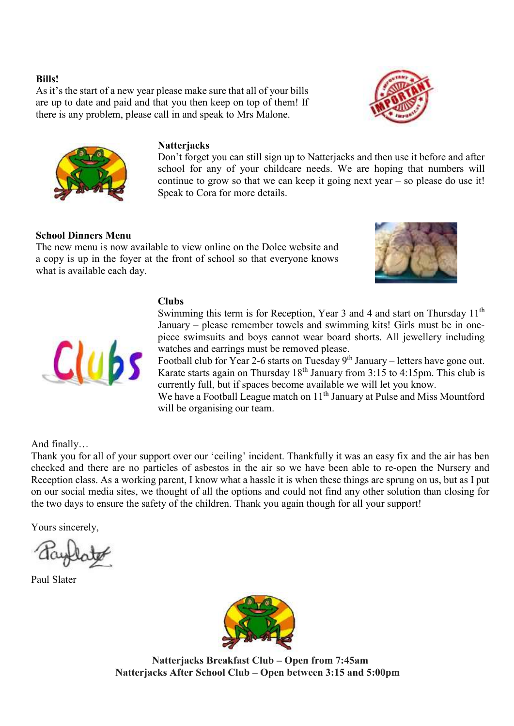#### **Bills!**

As it's the start of a new year please make sure that all of your bills are up to date and paid and that you then keep on top of them! If there is any problem, please call in and speak to Mrs Malone.





#### **Natterjacks**

Don't forget you can still sign up to Natterjacks and then use it before and after school for any of your childcare needs. We are hoping that numbers will continue to grow so that we can keep it going next year – so please do use it! Speak to Cora for more details.

#### **School Dinners Menu**

The new menu is now available to view online on the Dolce website and a copy is up in the foyer at the front of school so that everyone knows what is available each day.





#### **Clubs**

Swimming this term is for Reception, Year 3 and 4 and start on Thursday 11<sup>th</sup> January – please remember towels and swimming kits! Girls must be in onepiece swimsuits and boys cannot wear board shorts. All jewellery including watches and earrings must be removed please.

Football club for Year 2-6 starts on Tuesday  $9<sup>th</sup>$  January – letters have gone out. Karate starts again on Thursday 18<sup>th</sup> January from 3:15 to 4:15pm. This club is currently full, but if spaces become available we will let you know.

We have a Football League match on 11<sup>th</sup> January at Pulse and Miss Mountford will be organising our team.

And finally…

Thank you for all of your support over our 'ceiling' incident. Thankfully it was an easy fix and the air has ben checked and there are no particles of asbestos in the air so we have been able to re-open the Nursery and Reception class. As a working parent, I know what a hassle it is when these things are sprung on us, but as I put on our social media sites, we thought of all the options and could not find any other solution than closing for the two days to ensure the safety of the children. Thank you again though for all your support!

Yours sincerely,

Paul Slater



**Natterjacks Breakfast Club – Open from 7:45am Natterjacks After School Club – Open between 3:15 and 5:00pm**